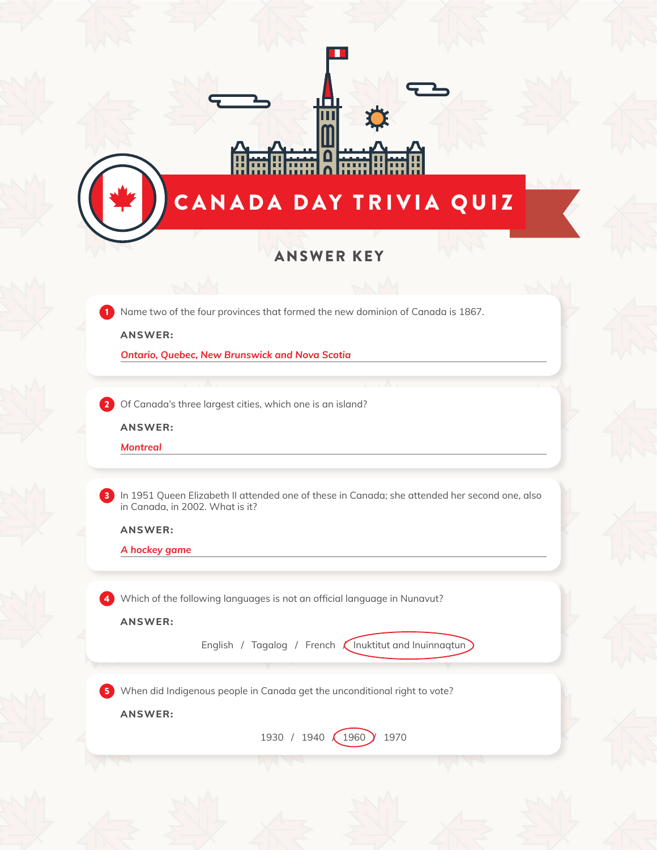|                                                                                                                                                           |                                                                | CANADA DAY TRIVIA QUIZ                                                                        |  |
|-----------------------------------------------------------------------------------------------------------------------------------------------------------|----------------------------------------------------------------|-----------------------------------------------------------------------------------------------|--|
|                                                                                                                                                           | <b>ANSWER KEY</b>                                              |                                                                                               |  |
| Name two of the four provinces that formed the new dominion of Canada is 1867.<br><b>ANSWER:</b><br><b>Ontario, Quebec, New Brunswick and Nova Scotia</b> |                                                                |                                                                                               |  |
| Of Canada's three largest cities, which one is an island?<br><b>ANSWER:</b><br><b>Montreal</b>                                                            |                                                                |                                                                                               |  |
| in Canada, in 2002. What is it?<br><b>ANSWER:</b><br>A hockey game                                                                                        |                                                                | In 1951 Queen Elizabeth II attended one of these in Canada; she attended her second one, also |  |
| Which of the following languages is not an official language in Nunavut?<br><b>ANSWER:</b>                                                                |                                                                |                                                                                               |  |
|                                                                                                                                                           | English / Tagalog / French <i>(Inuktitut and Inuinnaqtun</i> ) |                                                                                               |  |
| When did Indigenous people in Canada get the unconditional right to vote?                                                                                 |                                                                |                                                                                               |  |
|                                                                                                                                                           |                                                                |                                                                                               |  |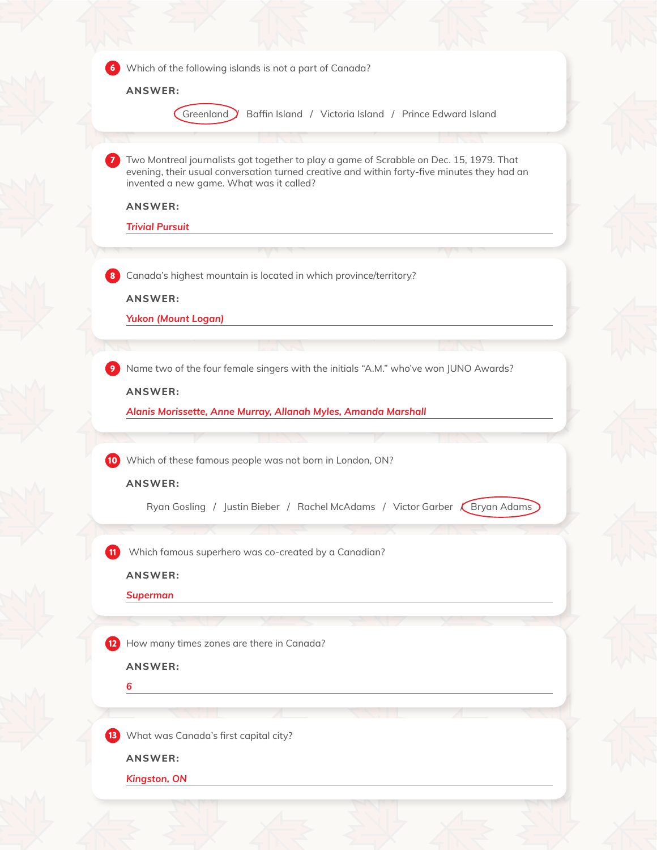|                | Which of the following islands is not a part of Canada?                                                                                                                                                                            |
|----------------|------------------------------------------------------------------------------------------------------------------------------------------------------------------------------------------------------------------------------------|
|                |                                                                                                                                                                                                                                    |
|                | <b>ANSWER:</b>                                                                                                                                                                                                                     |
|                | Greenland<br>Baffin Island / Victoria Island / Prince Edward Island                                                                                                                                                                |
|                |                                                                                                                                                                                                                                    |
|                | Two Montreal journalists got together to play a game of Scrabble on Dec. 15, 1979. That<br>evening, their usual conversation turned creative and within forty-five minutes they had an<br>invented a new game. What was it called? |
|                | <b>ANSWER:</b>                                                                                                                                                                                                                     |
|                | <b>Trivial Pursuit</b>                                                                                                                                                                                                             |
|                |                                                                                                                                                                                                                                    |
| 8              | Canada's highest mountain is located in which province/territory?                                                                                                                                                                  |
|                | <b>ANSWER:</b>                                                                                                                                                                                                                     |
|                | <b>Yukon (Mount Logan)</b>                                                                                                                                                                                                         |
|                |                                                                                                                                                                                                                                    |
|                |                                                                                                                                                                                                                                    |
|                | Name two of the four female singers with the initials "A.M." who've won JUNO Awards?                                                                                                                                               |
|                | <b>ANSWER:</b>                                                                                                                                                                                                                     |
|                | Alanis Morissette, Anne Murray, Allanah Myles, Amanda Marshall                                                                                                                                                                     |
| (10)           | Which of these famous people was not born in London, ON?                                                                                                                                                                           |
|                | <b>ANSWER:</b>                                                                                                                                                                                                                     |
|                | Ryan Gosling / Justin Bieber / Rachel McAdams / Victor Garber (Bryan Adams)                                                                                                                                                        |
|                |                                                                                                                                                                                                                                    |
| $\blacksquare$ | Which famous superhero was co-created by a Canadian?                                                                                                                                                                               |
|                | <b>ANSWER:</b>                                                                                                                                                                                                                     |
|                | <b>Superman</b>                                                                                                                                                                                                                    |
|                |                                                                                                                                                                                                                                    |
| $\mathbf{12}$  | How many times zones are there in Canada?                                                                                                                                                                                          |
|                | <b>ANSWER:</b>                                                                                                                                                                                                                     |
|                | 6                                                                                                                                                                                                                                  |
|                |                                                                                                                                                                                                                                    |
|                |                                                                                                                                                                                                                                    |
|                | What was Canada's first capital city?                                                                                                                                                                                              |
|                | <b>ANSWER:</b>                                                                                                                                                                                                                     |